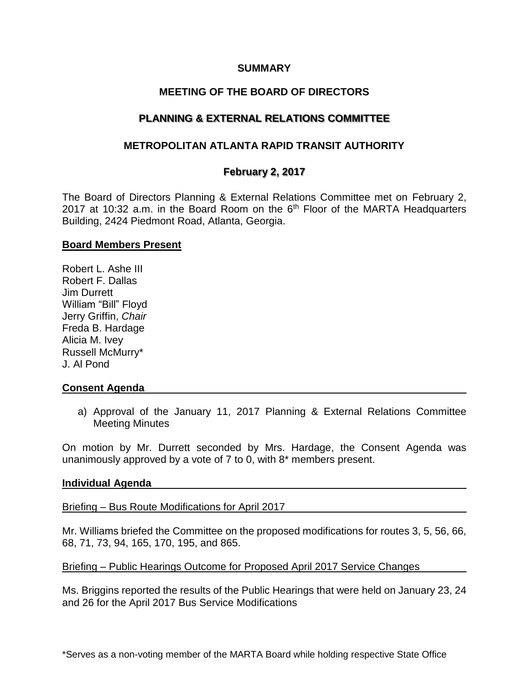### **SUMMARY**

# **MEETING OF THE BOARD OF DIRECTORS**

# **PLANNING & EXTERNAL RELATIONS COMMITTEE**

## **METROPOLITAN ATLANTA RAPID TRANSIT AUTHORITY**

## **February 2, 2017**

The Board of Directors Planning & External Relations Committee met on February 2, 2017 at 10:32 a.m. in the Board Room on the  $6<sup>th</sup>$  Floor of the MARTA Headquarters Building, 2424 Piedmont Road, Atlanta, Georgia.

#### **Board Members Present**

Robert L. Ashe III Robert F. Dallas Jim Durrett William "Bill" Floyd Jerry Griffin, *Chair* Freda B. Hardage Alicia M. Ivey Russell McMurry\* J. Al Pond

## **Consent Agenda**

a) Approval of the January 11, 2017 Planning & External Relations Committee Meeting Minutes

On motion by Mr. Durrett seconded by Mrs. Hardage, the Consent Agenda was unanimously approved by a vote of 7 to 0, with 8\* members present.

#### **Individual Agenda**

Briefing – Bus Route Modifications for April 2017

Mr. Williams briefed the Committee on the proposed modifications for routes 3, 5, 56, 66, 68, 71, 73, 94, 165, 170, 195, and 865.

Briefing – Public Hearings Outcome for Proposed April 2017 Service Changes

Ms. Briggins reported the results of the Public Hearings that were held on January 23, 24 and 26 for the April 2017 Bus Service Modifications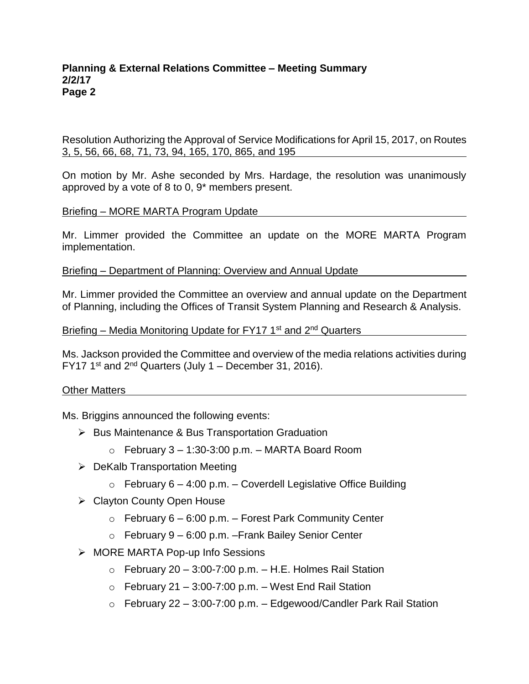### **Planning & External Relations Committee – Meeting Summary 2/2/17 Page 2**

Resolution Authorizing the Approval of Service Modifications for April 15, 2017, on Routes 3, 5, 56, 66, 68, 71, 73, 94, 165, 170, 865, and 195

On motion by Mr. Ashe seconded by Mrs. Hardage, the resolution was unanimously approved by a vote of 8 to 0, 9\* members present.

Briefing – MORE MARTA Program Update

Mr. Limmer provided the Committee an update on the MORE MARTA Program implementation.

Briefing – Department of Planning: Overview and Annual Update

Mr. Limmer provided the Committee an overview and annual update on the Department of Planning, including the Offices of Transit System Planning and Research & Analysis.

Briefing – Media Monitoring Update for FY17 1<sup>st</sup> and 2<sup>nd</sup> Quarters

Ms. Jackson provided the Committee and overview of the media relations activities during FY17 1<sup>st</sup> and  $2<sup>nd</sup>$  Quarters (July 1 – December 31, 2016).

Other Matters

Ms. Briggins announced the following events:

- $\triangleright$  Bus Maintenance & Bus Transportation Graduation
	- $\circ$  February 3 1:30-3:00 p.m. MARTA Board Room
- $\triangleright$  DeKalb Transportation Meeting
	- $\circ$  February 6 4:00 p.m. Coverdell Legislative Office Building
- Clayton County Open House
	- $\circ$  February 6 6:00 p.m. Forest Park Community Center
	- $\circ$  February 9 6:00 p.m. Frank Bailey Senior Center
- MORE MARTA Pop-up Info Sessions
	- $\circ$  February 20 3:00-7:00 p.m. H.E. Holmes Rail Station
	- $\circ$  February 21 3:00-7:00 p.m. West End Rail Station
	- $\circ$  February 22 3:00-7:00 p.m. Edgewood/Candler Park Rail Station